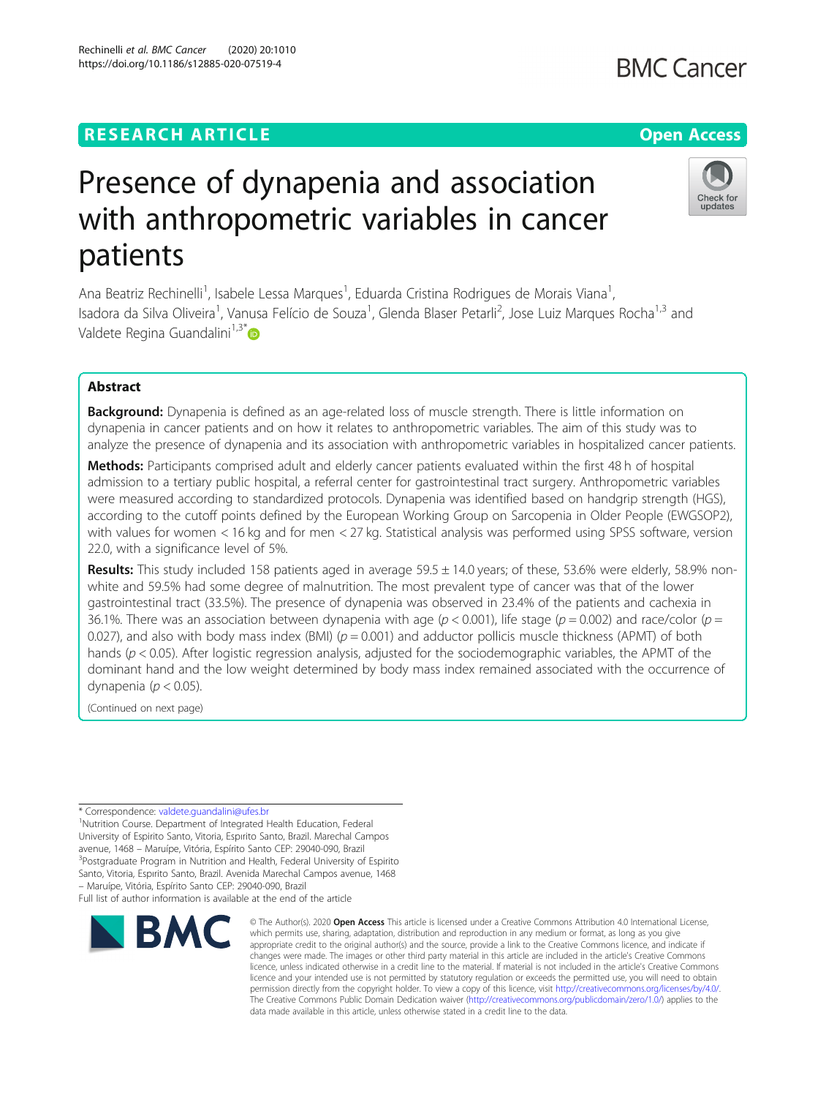## **RESEARCH ARTICLE Example 2014 12:30 The Contract of Contract ACCESS**

# Presence of dynapenia and association with anthropometric variables in cancer patients

Ana Beatriz Rechinelli<sup>1</sup>, Isabele Lessa Marques<sup>1</sup>, Eduarda Cristina Rodrigues de Morais Viana<sup>1</sup> , Isadora da Silva Oliveira<sup>1</sup>, Vanusa Felício de Souza<sup>1</sup>, Glenda Blaser Petarli<sup>2</sup>, Jose Luiz Marques Rocha<sup>1,3</sup> and Valdete Regina Guandalini $1,3^*$ 

## Abstract

**Background:** Dynapenia is defined as an age-related loss of muscle strength. There is little information on dynapenia in cancer patients and on how it relates to anthropometric variables. The aim of this study was to analyze the presence of dynapenia and its association with anthropometric variables in hospitalized cancer patients.

Methods: Participants comprised adult and elderly cancer patients evaluated within the first 48 h of hospital admission to a tertiary public hospital, a referral center for gastrointestinal tract surgery. Anthropometric variables were measured according to standardized protocols. Dynapenia was identified based on handgrip strength (HGS), according to the cutoff points defined by the European Working Group on Sarcopenia in Older People (EWGSOP2), with values for women < 16 kg and for men < 27 kg. Statistical analysis was performed using SPSS software, version 22.0, with a significance level of 5%.

Results: This study included 158 patients aged in average 59.5 ± 14.0 years; of these, 53.6% were elderly, 58.9% nonwhite and 59.5% had some degree of malnutrition. The most prevalent type of cancer was that of the lower gastrointestinal tract (33.5%). The presence of dynapenia was observed in 23.4% of the patients and cachexia in 36.1%. There was an association between dynapenia with age ( $p < 0.001$ ), life stage ( $p = 0.002$ ) and race/color ( $p = 0.002$ ) 0.027), and also with body mass index (BMI) ( $p = 0.001$ ) and adductor pollicis muscle thickness (APMT) of both hands ( $p < 0.05$ ). After logistic regression analysis, adjusted for the sociodemographic variables, the APMT of the dominant hand and the low weight determined by body mass index remained associated with the occurrence of dynapenia ( $p < 0.05$ ).

(Continued on next page)

\* Correspondence: [valdete.guandalini@ufes.br](mailto:valdete.guandalini@ufes.br) <sup>1</sup>

<sup>1</sup>Nutrition Course. Department of Integrated Health Education, Federal University of Espirito Santo, Vitoria, Espırito Santo, Brazil. Marechal Campos avenue, 1468 – Maruípe, Vitória, Espírito Santo CEP: 29040-090, Brazil <sup>3</sup> <sup>3</sup>Postgraduate Program in Nutrition and Health, Federal University of Espirito Santo, Vitoria, Espırito Santo, Brazil. Avenida Marechal Campos avenue, 1468 – Maruípe, Vitória, Espírito Santo CEP: 29040-090, Brazil

Full list of author information is available at the end of the article



<sup>©</sup> The Author(s), 2020 **Open Access** This article is licensed under a Creative Commons Attribution 4.0 International License, which permits use, sharing, adaptation, distribution and reproduction in any medium or format, as long as you give appropriate credit to the original author(s) and the source, provide a link to the Creative Commons licence, and indicate if changes were made. The images or other third party material in this article are included in the article's Creative Commons licence, unless indicated otherwise in a credit line to the material. If material is not included in the article's Creative Commons licence and your intended use is not permitted by statutory regulation or exceeds the permitted use, you will need to obtain permission directly from the copyright holder. To view a copy of this licence, visit [http://creativecommons.org/licenses/by/4.0/.](http://creativecommons.org/licenses/by/4.0/) The Creative Commons Public Domain Dedication waiver [\(http://creativecommons.org/publicdomain/zero/1.0/](http://creativecommons.org/publicdomain/zero/1.0/)) applies to the data made available in this article, unless otherwise stated in a credit line to the data.



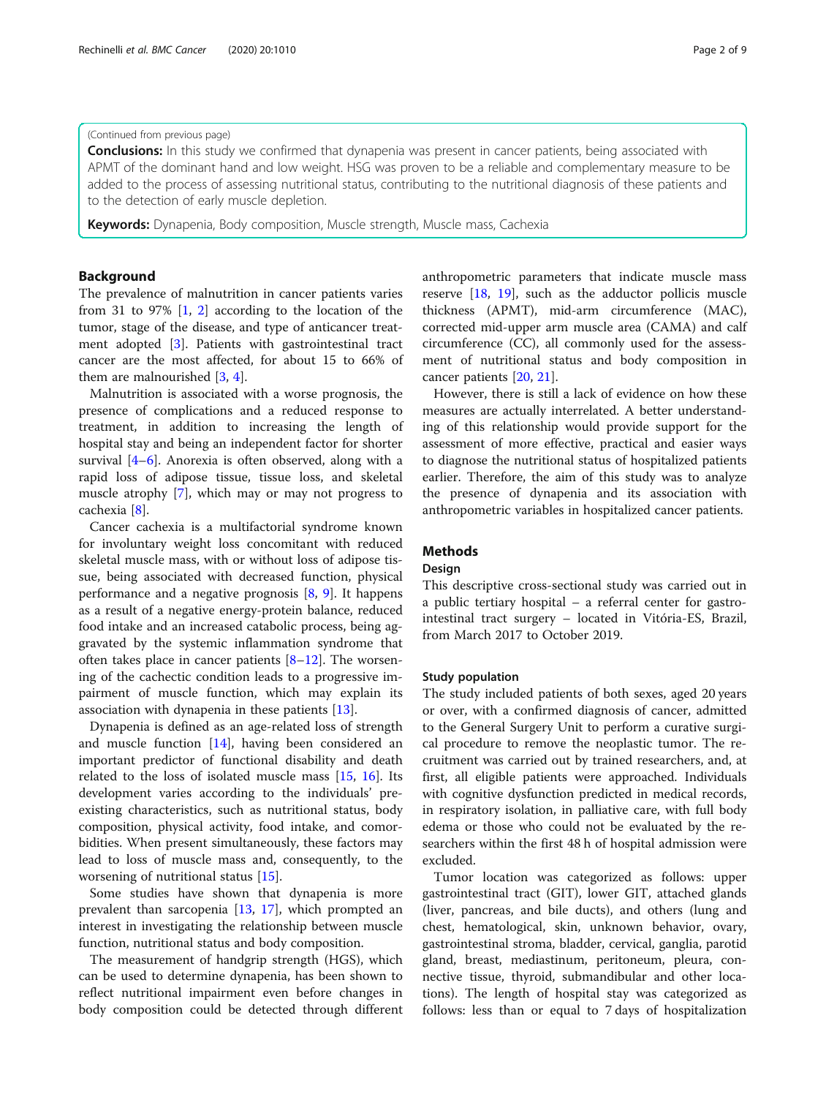## (Continued from previous page)

**Conclusions:** In this study we confirmed that dynapenia was present in cancer patients, being associated with APMT of the dominant hand and low weight. HSG was proven to be a reliable and complementary measure to be added to the process of assessing nutritional status, contributing to the nutritional diagnosis of these patients and to the detection of early muscle depletion.

Keywords: Dynapenia, Body composition, Muscle strength, Muscle mass, Cachexia

## Background

The prevalence of malnutrition in cancer patients varies from 31 to 97% [\[1](#page-7-0), [2](#page-7-0)] according to the location of the tumor, stage of the disease, and type of anticancer treatment adopted [\[3](#page-7-0)]. Patients with gastrointestinal tract cancer are the most affected, for about 15 to 66% of them are malnourished [\[3](#page-7-0), [4](#page-7-0)].

Malnutrition is associated with a worse prognosis, the presence of complications and a reduced response to treatment, in addition to increasing the length of hospital stay and being an independent factor for shorter survival [[4](#page-7-0)–[6\]](#page-7-0). Anorexia is often observed, along with a rapid loss of adipose tissue, tissue loss, and skeletal muscle atrophy [[7\]](#page-7-0), which may or may not progress to cachexia [\[8](#page-7-0)].

Cancer cachexia is a multifactorial syndrome known for involuntary weight loss concomitant with reduced skeletal muscle mass, with or without loss of adipose tissue, being associated with decreased function, physical performance and a negative prognosis  $[8, 9]$  $[8, 9]$  $[8, 9]$ . It happens as a result of a negative energy-protein balance, reduced food intake and an increased catabolic process, being aggravated by the systemic inflammation syndrome that often takes place in cancer patients [[8](#page-7-0)–[12\]](#page-7-0). The worsening of the cachectic condition leads to a progressive impairment of muscle function, which may explain its association with dynapenia in these patients [[13](#page-7-0)].

Dynapenia is defined as an age-related loss of strength and muscle function [[14\]](#page-7-0), having been considered an important predictor of functional disability and death related to the loss of isolated muscle mass [[15,](#page-7-0) [16\]](#page-7-0). Its development varies according to the individuals' preexisting characteristics, such as nutritional status, body composition, physical activity, food intake, and comorbidities. When present simultaneously, these factors may lead to loss of muscle mass and, consequently, to the worsening of nutritional status [[15](#page-7-0)].

Some studies have shown that dynapenia is more prevalent than sarcopenia [[13,](#page-7-0) [17](#page-7-0)], which prompted an interest in investigating the relationship between muscle function, nutritional status and body composition.

The measurement of handgrip strength (HGS), which can be used to determine dynapenia, has been shown to reflect nutritional impairment even before changes in body composition could be detected through different anthropometric parameters that indicate muscle mass reserve [[18,](#page-7-0) [19\]](#page-7-0), such as the adductor pollicis muscle thickness (APMT), mid-arm circumference (MAC), corrected mid-upper arm muscle area (CAMA) and calf circumference (CC), all commonly used for the assessment of nutritional status and body composition in cancer patients [[20](#page-7-0), [21](#page-7-0)].

However, there is still a lack of evidence on how these measures are actually interrelated. A better understanding of this relationship would provide support for the assessment of more effective, practical and easier ways to diagnose the nutritional status of hospitalized patients earlier. Therefore, the aim of this study was to analyze the presence of dynapenia and its association with anthropometric variables in hospitalized cancer patients.

## Methods

## Design

This descriptive cross-sectional study was carried out in a public tertiary hospital – a referral center for gastrointestinal tract surgery – located in Vitória-ES, Brazil, from March 2017 to October 2019.

### Study population

The study included patients of both sexes, aged 20 years or over, with a confirmed diagnosis of cancer, admitted to the General Surgery Unit to perform a curative surgical procedure to remove the neoplastic tumor. The recruitment was carried out by trained researchers, and, at first, all eligible patients were approached. Individuals with cognitive dysfunction predicted in medical records, in respiratory isolation, in palliative care, with full body edema or those who could not be evaluated by the researchers within the first 48 h of hospital admission were excluded.

Tumor location was categorized as follows: upper gastrointestinal tract (GIT), lower GIT, attached glands (liver, pancreas, and bile ducts), and others (lung and chest, hematological, skin, unknown behavior, ovary, gastrointestinal stroma, bladder, cervical, ganglia, parotid gland, breast, mediastinum, peritoneum, pleura, connective tissue, thyroid, submandibular and other locations). The length of hospital stay was categorized as follows: less than or equal to 7 days of hospitalization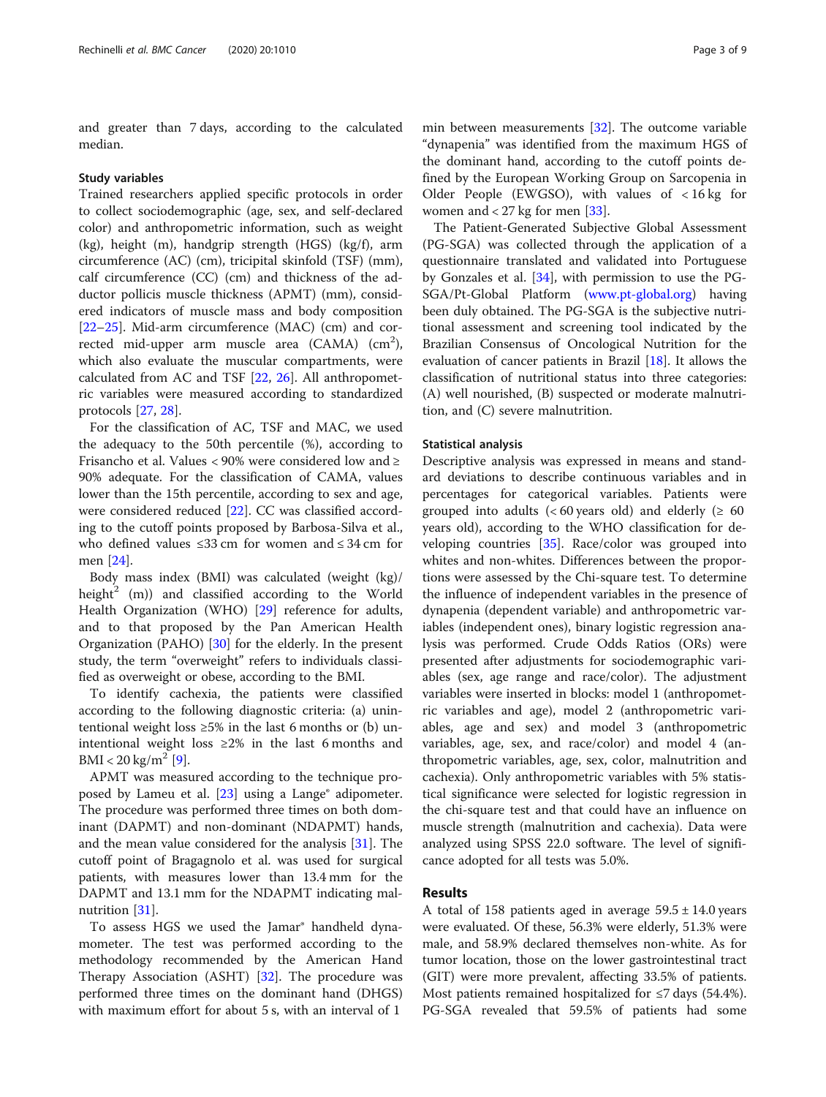and greater than 7 days, according to the calculated median.

#### Study variables

Trained researchers applied specific protocols in order to collect sociodemographic (age, sex, and self-declared color) and anthropometric information, such as weight (kg), height (m), handgrip strength (HGS) (kg/f), arm circumference (AC) (cm), tricipital skinfold (TSF) (mm), calf circumference (CC) (cm) and thickness of the adductor pollicis muscle thickness (APMT) (mm), considered indicators of muscle mass and body composition [[22](#page-7-0)–[25](#page-7-0)]. Mid-arm circumference (MAC) (cm) and corrected mid-upper arm muscle area (CAMA)  $\rm (cm^2)$ , which also evaluate the muscular compartments, were calculated from AC and TSF [[22,](#page-7-0) [26](#page-7-0)]. All anthropometric variables were measured according to standardized protocols [[27,](#page-7-0) [28\]](#page-7-0).

For the classification of AC, TSF and MAC, we used the adequacy to the 50th percentile (%), according to Frisancho et al. Values < 90% were considered low and ≥ 90% adequate. For the classification of CAMA, values lower than the 15th percentile, according to sex and age, were considered reduced [\[22](#page-7-0)]. CC was classified according to the cutoff points proposed by Barbosa-Silva et al., who defined values ≤33 cm for women and ≤ 34 cm for men [[24\]](#page-7-0).

Body mass index (BMI) was calculated (weight (kg)/ height<sup>2</sup> (m)) and classified according to the World Health Organization (WHO) [[29\]](#page-7-0) reference for adults, and to that proposed by the Pan American Health Organization (PAHO) [\[30](#page-7-0)] for the elderly. In the present study, the term "overweight" refers to individuals classified as overweight or obese, according to the BMI.

To identify cachexia, the patients were classified according to the following diagnostic criteria: (a) unintentional weight loss  $\geq 5\%$  in the last 6 months or (b) unintentional weight loss ≥2% in the last 6 months and  $BMI < 20 \text{ kg/m}^2$  [\[9\]](#page-7-0).

APMT was measured according to the technique pro-posed by Lameu et al. [[23\]](#page-7-0) using a Lange<sup>®</sup> adipometer. The procedure was performed three times on both dominant (DAPMT) and non-dominant (NDAPMT) hands, and the mean value considered for the analysis [\[31\]](#page-7-0). The cutoff point of Bragagnolo et al. was used for surgical patients, with measures lower than 13.4 mm for the DAPMT and 13.1 mm for the NDAPMT indicating malnutrition [\[31](#page-7-0)].

To assess HGS we used the Jamar® handheld dynamometer. The test was performed according to the methodology recommended by the American Hand Therapy Association (ASHT) [\[32\]](#page-7-0). The procedure was performed three times on the dominant hand (DHGS) with maximum effort for about 5 s, with an interval of 1

min between measurements [\[32](#page-7-0)]. The outcome variable "dynapenia" was identified from the maximum HGS of the dominant hand, according to the cutoff points defined by the European Working Group on Sarcopenia in Older People (EWGSO), with values of < 16 kg for women and  $<$  27 kg for men [[33\]](#page-7-0).

The Patient-Generated Subjective Global Assessment (PG-SGA) was collected through the application of a questionnaire translated and validated into Portuguese by Gonzales et al. [[34\]](#page-7-0), with permission to use the PG-SGA/Pt-Global Platform [\(www.pt-global.org](http://www.pt-global.org)) having been duly obtained. The PG-SGA is the subjective nutritional assessment and screening tool indicated by the Brazilian Consensus of Oncological Nutrition for the evaluation of cancer patients in Brazil [[18](#page-7-0)]. It allows the classification of nutritional status into three categories: (A) well nourished, (B) suspected or moderate malnutrition, and (C) severe malnutrition.

## Statistical analysis

Descriptive analysis was expressed in means and standard deviations to describe continuous variables and in percentages for categorical variables. Patients were grouped into adults ( $< 60$  years old) and elderly ( $\geq 60$ years old), according to the WHO classification for developing countries [[35\]](#page-7-0). Race/color was grouped into whites and non-whites. Differences between the proportions were assessed by the Chi-square test. To determine the influence of independent variables in the presence of dynapenia (dependent variable) and anthropometric variables (independent ones), binary logistic regression analysis was performed. Crude Odds Ratios (ORs) were presented after adjustments for sociodemographic variables (sex, age range and race/color). The adjustment variables were inserted in blocks: model 1 (anthropometric variables and age), model 2 (anthropometric variables, age and sex) and model 3 (anthropometric variables, age, sex, and race/color) and model 4 (anthropometric variables, age, sex, color, malnutrition and cachexia). Only anthropometric variables with 5% statistical significance were selected for logistic regression in the chi-square test and that could have an influence on muscle strength (malnutrition and cachexia). Data were analyzed using SPSS 22.0 software. The level of significance adopted for all tests was 5.0%.

## Results

A total of 158 patients aged in average  $59.5 \pm 14.0$  years were evaluated. Of these, 56.3% were elderly, 51.3% were male, and 58.9% declared themselves non-white. As for tumor location, those on the lower gastrointestinal tract (GIT) were more prevalent, affecting 33.5% of patients. Most patients remained hospitalized for  $\leq$ 7 days (54.4%). PG-SGA revealed that 59.5% of patients had some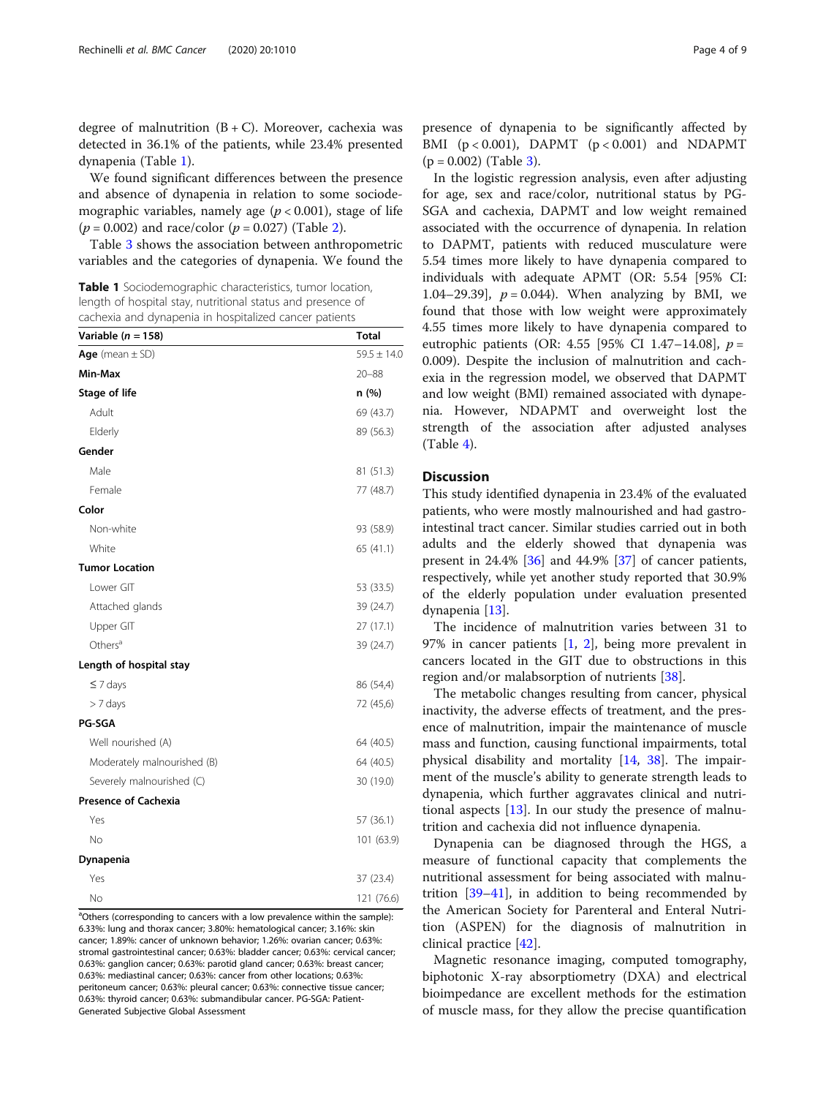degree of malnutrition  $(B+C)$ . Moreover, cachexia was detected in 36.1% of the patients, while 23.4% presented dynapenia (Table 1).

We found significant differences between the presence and absence of dynapenia in relation to some sociodemographic variables, namely age ( $p < 0.001$ ), stage of life  $(p = 0.002)$  $(p = 0.002)$  and race/color  $(p = 0.027)$  (Table 2).

Table [3](#page-5-0) shows the association between anthropometric variables and the categories of dynapenia. We found the

Table 1 Sociodemographic characteristics, tumor location, length of hospital stay, nutritional status and presence of cachexia and dynapenia in hospitalized cancer patients

| Variable ( $n = 158$ )      | <b>Total</b>    |
|-----------------------------|-----------------|
| Age (mean $\pm$ SD)         | $59.5 \pm 14.0$ |
| Min-Max                     | $20 - 88$       |
| <b>Stage of life</b>        | n (%)           |
| Adult                       | 69 (43.7)       |
| Elderly                     | 89 (56.3)       |
| Gender                      |                 |
| Male                        | 81 (51.3)       |
| Female                      | 77 (48.7)       |
| Color                       |                 |
| Non-white                   | 93 (58.9)       |
| White                       | 65 (41.1)       |
| <b>Tumor Location</b>       |                 |
| Lower GIT                   | 53 (33.5)       |
| Attached glands             | 39 (24.7)       |
| Upper GIT                   | 27(17.1)        |
| Others <sup>a</sup>         | 39 (24.7)       |
| Length of hospital stay     |                 |
| $\leq 7$ days               | 86 (54,4)       |
| $> 7$ days                  | 72 (45,6)       |
| <b>PG-SGA</b>               |                 |
| Well nourished (A)          | 64 (40.5)       |
| Moderately malnourished (B) | 64 (40.5)       |
| Severely malnourished (C)   | 30 (19.0)       |
| <b>Presence of Cachexia</b> |                 |
| Yes                         | 57 (36.1)       |
| No                          | 101 (63.9)      |
| Dynapenia                   |                 |
| Yes                         | 37 (23.4)       |
| No                          | 121 (76.6)      |

<sup>a</sup>Others (corresponding to cancers with a low prevalence within the sample): 6.33%: lung and thorax cancer; 3.80%: hematological cancer; 3.16%: skin cancer; 1.89%: cancer of unknown behavior; 1.26%: ovarian cancer; 0.63%: stromal gastrointestinal cancer; 0.63%: bladder cancer; 0.63%: cervical cancer; 0.63%: ganglion cancer; 0.63%: parotid gland cancer; 0.63%: breast cancer; 0.63%: mediastinal cancer; 0.63%: cancer from other locations; 0.63%: peritoneum cancer; 0.63%: pleural cancer; 0.63%: connective tissue cancer; 0.63%: thyroid cancer; 0.63%: submandibular cancer. PG-SGA: Patient-Generated Subjective Global Assessment

presence of dynapenia to be significantly affected by BMI  $(p < 0.001)$ , DAPMT  $(p < 0.001)$  and NDAPMT  $(p = 0.002)$  (Table [3\)](#page-5-0).

In the logistic regression analysis, even after adjusting for age, sex and race/color, nutritional status by PG-SGA and cachexia, DAPMT and low weight remained associated with the occurrence of dynapenia. In relation to DAPMT, patients with reduced musculature were 5.54 times more likely to have dynapenia compared to individuals with adequate APMT (OR: 5.54 [95% CI: 1.04–29.39],  $p = 0.044$ ). When analyzing by BMI, we found that those with low weight were approximately 4.55 times more likely to have dynapenia compared to eutrophic patients (OR: 4.55 [95% CI 1.47–14.08],  $p =$ 0.009). Despite the inclusion of malnutrition and cachexia in the regression model, we observed that DAPMT and low weight (BMI) remained associated with dynapenia. However, NDAPMT and overweight lost the strength of the association after adjusted analyses  $(Table 4)$  $(Table 4)$ .

## Discussion

This study identified dynapenia in 23.4% of the evaluated patients, who were mostly malnourished and had gastrointestinal tract cancer. Similar studies carried out in both adults and the elderly showed that dynapenia was present in 24.4% [\[36](#page-7-0)] and 44.9% [[37\]](#page-7-0) of cancer patients, respectively, while yet another study reported that 30.9% of the elderly population under evaluation presented dynapenia [\[13](#page-7-0)].

The incidence of malnutrition varies between 31 to 97% in cancer patients [\[1](#page-7-0), [2\]](#page-7-0), being more prevalent in cancers located in the GIT due to obstructions in this region and/or malabsorption of nutrients [\[38](#page-7-0)].

The metabolic changes resulting from cancer, physical inactivity, the adverse effects of treatment, and the presence of malnutrition, impair the maintenance of muscle mass and function, causing functional impairments, total physical disability and mortality [[14](#page-7-0), [38\]](#page-7-0). The impairment of the muscle's ability to generate strength leads to dynapenia, which further aggravates clinical and nutritional aspects  $[13]$  $[13]$ . In our study the presence of malnutrition and cachexia did not influence dynapenia.

Dynapenia can be diagnosed through the HGS, a measure of functional capacity that complements the nutritional assessment for being associated with malnutrition [\[39](#page-7-0)–[41\]](#page-7-0), in addition to being recommended by the American Society for Parenteral and Enteral Nutrition (ASPEN) for the diagnosis of malnutrition in clinical practice [[42\]](#page-7-0).

Magnetic resonance imaging, computed tomography, biphotonic X-ray absorptiometry (DXA) and electrical bioimpedance are excellent methods for the estimation of muscle mass, for they allow the precise quantification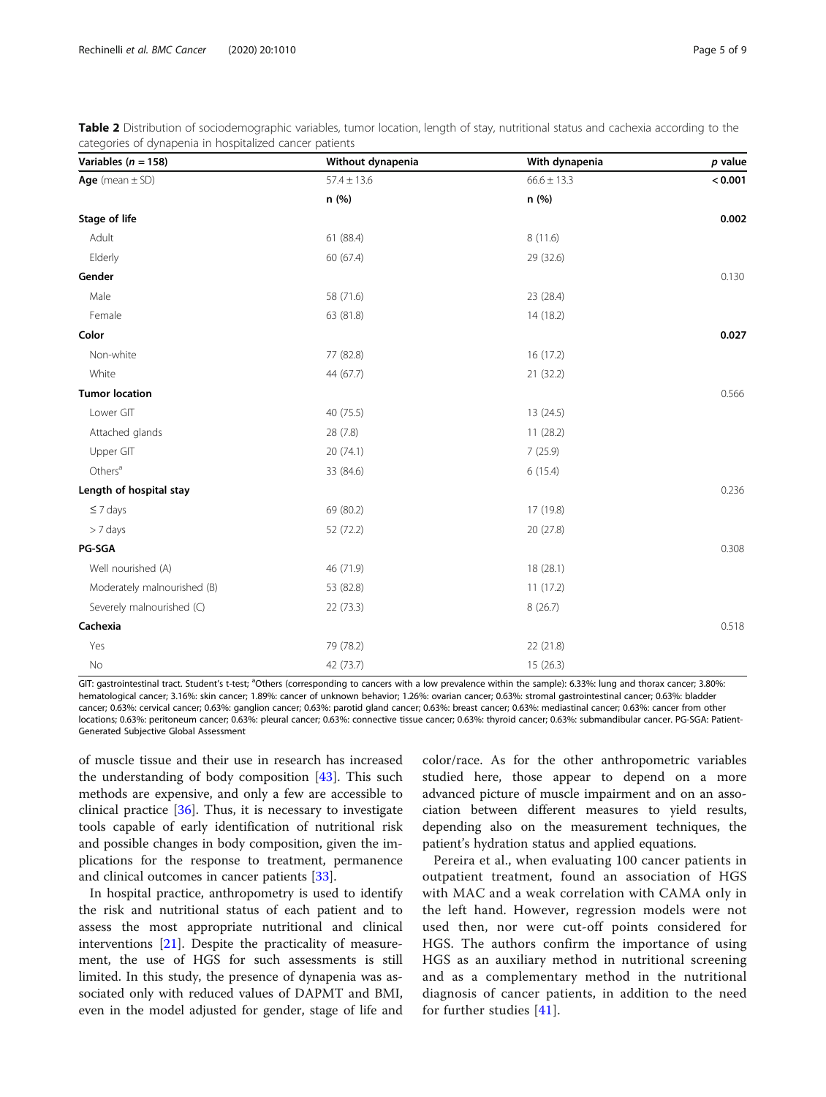<span id="page-4-0"></span>

|                                                         | Table 2 Distribution of sociodemographic variables, tumor location, length of stay, nutritional status and cachexia according to the |
|---------------------------------------------------------|--------------------------------------------------------------------------------------------------------------------------------------|
| categories of dynapenia in hospitalized cancer patients |                                                                                                                                      |

| Variables ( $n = 158$ )     | Without dynapenia | With dynapenia  | $p$ value |
|-----------------------------|-------------------|-----------------|-----------|
| Age (mean $\pm$ SD)         | $57.4 \pm 13.6$   | $66.6 \pm 13.3$ | < 0.001   |
|                             | n (%)             | n (%)           |           |
| Stage of life               |                   |                 | 0.002     |
| Adult                       | 61 (88.4)         | 8 (11.6)        |           |
| Elderly                     | 60 (67.4)         | 29 (32.6)       |           |
| Gender                      |                   |                 | 0.130     |
| Male                        | 58 (71.6)         | 23 (28.4)       |           |
| Female                      | 63 (81.8)         | 14 (18.2)       |           |
| Color                       |                   |                 | 0.027     |
| Non-white                   | 77 (82.8)         | 16 (17.2)       |           |
| White                       | 44 (67.7)         | 21 (32.2)       |           |
| <b>Tumor location</b>       |                   |                 | 0.566     |
| Lower GIT                   | 40 (75.5)         | 13 (24.5)       |           |
| Attached glands             | 28 (7.8)          | 11 (28.2)       |           |
| Upper GIT                   | 20 (74.1)         | 7(25.9)         |           |
| Others <sup>a</sup>         | 33 (84.6)         | 6(15.4)         |           |
| Length of hospital stay     |                   |                 | 0.236     |
| $\leq 7$ days               | 69 (80.2)         | 17 (19.8)       |           |
| > 7 days                    | 52 (72.2)         | 20 (27.8)       |           |
| <b>PG-SGA</b>               |                   |                 | 0.308     |
| Well nourished (A)          | 46 (71.9)         | 18 (28.1)       |           |
| Moderately malnourished (B) | 53 (82.8)         | 11 (17.2)       |           |
| Severely malnourished (C)   | 22 (73.3)         | 8(26.7)         |           |
| Cachexia                    |                   |                 | 0.518     |
| Yes                         | 79 (78.2)         | 22 (21.8)       |           |
| No                          | 42 (73.7)         | 15 (26.3)       |           |

GIT: gastrointestinal tract. Student's t-test; <sup>a</sup>Others (corresponding to cancers with a low prevalence within the sample): 6.33%: lung and thorax cancer; 3.80% hematological cancer; 3.16%: skin cancer; 1.89%: cancer of unknown behavior; 1.26%: ovarian cancer; 0.63%: stromal gastrointestinal cancer; 0.63%: bladder cancer; 0.63%: cervical cancer; 0.63%: ganglion cancer; 0.63%: parotid gland cancer; 0.63%: breast cancer; 0.63%: mediastinal cancer; 0.63%: cancer from other locations; 0.63%: peritoneum cancer; 0.63%: pleural cancer; 0.63%: connective tissue cancer; 0.63%: thyroid cancer; 0.63%: submandibular cancer. PG-SGA: Patient-Generated Subjective Global Assessment

of muscle tissue and their use in research has increased the understanding of body composition [\[43](#page-7-0)]. This such methods are expensive, and only a few are accessible to clinical practice [\[36](#page-7-0)]. Thus, it is necessary to investigate tools capable of early identification of nutritional risk and possible changes in body composition, given the implications for the response to treatment, permanence and clinical outcomes in cancer patients [[33](#page-7-0)].

In hospital practice, anthropometry is used to identify the risk and nutritional status of each patient and to assess the most appropriate nutritional and clinical interventions [\[21\]](#page-7-0). Despite the practicality of measurement, the use of HGS for such assessments is still limited. In this study, the presence of dynapenia was associated only with reduced values of DAPMT and BMI, even in the model adjusted for gender, stage of life and color/race. As for the other anthropometric variables studied here, those appear to depend on a more advanced picture of muscle impairment and on an association between different measures to yield results, depending also on the measurement techniques, the patient's hydration status and applied equations.

Pereira et al., when evaluating 100 cancer patients in outpatient treatment, found an association of HGS with MAC and a weak correlation with CAMA only in the left hand. However, regression models were not used then, nor were cut-off points considered for HGS. The authors confirm the importance of using HGS as an auxiliary method in nutritional screening and as a complementary method in the nutritional diagnosis of cancer patients, in addition to the need for further studies [\[41\]](#page-7-0).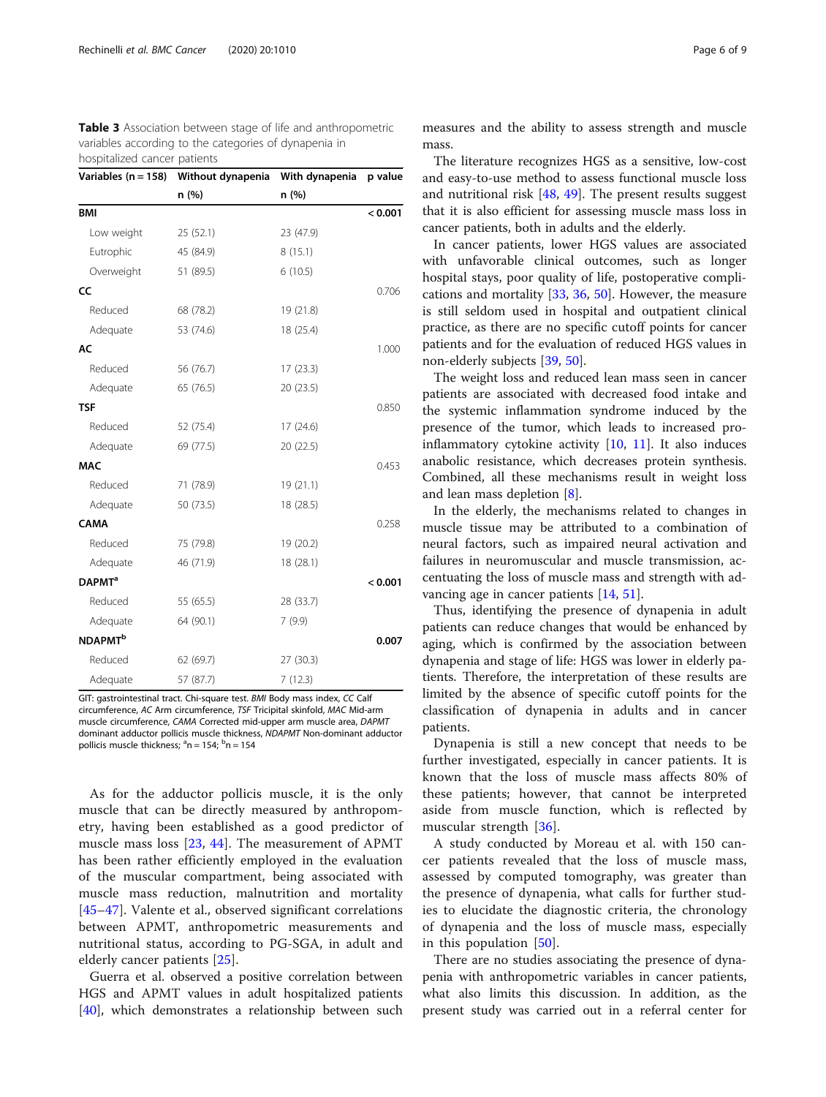<span id="page-5-0"></span>Table 3 Association between stage of life and anthropometric variables according to the categories of dynapenia in hospitalized cancer patients

| Variables ( $n = 158$ )   | Without dynapenia | With dynapenia | p value |
|---------------------------|-------------------|----------------|---------|
|                           | n (%)             | n (%)          |         |
| <b>BMI</b>                |                   |                | < 0.001 |
| Low weight                | 25(52.1)          | 23 (47.9)      |         |
| Eutrophic                 | 45 (84.9)         | 8(15.1)        |         |
| Overweight                | 51 (89.5)         | 6(10.5)        |         |
| CC                        |                   |                | 0.706   |
| Reduced                   | 68 (78.2)         | 19 (21.8)      |         |
| Adequate                  | 53 (74.6)         | 18 (25.4)      |         |
| AC                        |                   |                | 1.000   |
| Reduced                   | 56 (76.7)         | 17(23.3)       |         |
| Adequate                  | 65 (76.5)         | 20 (23.5)      |         |
| <b>TSF</b>                |                   |                | 0.850   |
| Reduced                   | 52 (75.4)         | 17 (24.6)      |         |
| Adequate                  | 69 (77.5)         | 20 (22.5)      |         |
| <b>MAC</b>                |                   |                | 0.453   |
| Reduced                   | 71 (78.9)         | 19 (21.1)      |         |
| Adequate                  | 50 (73.5)         | 18 (28.5)      |         |
| <b>CAMA</b>               |                   |                | 0.258   |
| Reduced                   | 75 (79.8)         | 19 (20.2)      |         |
| Adequate                  | 46 (71.9)         | 18 (28.1)      |         |
| <b>DAPMT</b> <sup>a</sup> |                   |                | < 0.001 |
| Reduced                   | 55 (65.5)         | 28 (33.7)      |         |
| Adequate                  | 64 (90.1)         | 7(9.9)         |         |
| <b>NDAPMT<sup>b</sup></b> |                   |                | 0.007   |
| Reduced                   | 62 (69.7)         | 27 (30.3)      |         |
| Adequate                  | 57 (87.7)         | 7(12.3)        |         |

GIT: gastrointestinal tract. Chi-square test. BMI Body mass index, CC Calf circumference, AC Arm circumference, TSF Tricipital skinfold, MAC Mid-arm muscle circumference, CAMA Corrected mid-upper arm muscle area, DAPMT dominant adductor pollicis muscle thickness, NDAPMT Non-dominant adductor pollicis muscle thickness; <sup>a</sup>n = 154; <sup>b</sup>n = 154

As for the adductor pollicis muscle, it is the only muscle that can be directly measured by anthropometry, having been established as a good predictor of muscle mass loss [[23,](#page-7-0) [44\]](#page-7-0). The measurement of APMT has been rather efficiently employed in the evaluation of the muscular compartment, being associated with muscle mass reduction, malnutrition and mortality [[45](#page-7-0)–[47\]](#page-7-0). Valente et al., observed significant correlations between APMT, anthropometric measurements and nutritional status, according to PG-SGA, in adult and elderly cancer patients [[25\]](#page-7-0).

Guerra et al. observed a positive correlation between HGS and APMT values in adult hospitalized patients [[40\]](#page-7-0), which demonstrates a relationship between such

measures and the ability to assess strength and muscle mass.

The literature recognizes HGS as a sensitive, low-cost and easy-to-use method to assess functional muscle loss and nutritional risk [\[48](#page-7-0), [49\]](#page-8-0). The present results suggest that it is also efficient for assessing muscle mass loss in cancer patients, both in adults and the elderly.

In cancer patients, lower HGS values are associated with unfavorable clinical outcomes, such as longer hospital stays, poor quality of life, postoperative complications and mortality [\[33](#page-7-0), [36](#page-7-0), [50](#page-8-0)]. However, the measure is still seldom used in hospital and outpatient clinical practice, as there are no specific cutoff points for cancer patients and for the evaluation of reduced HGS values in non-elderly subjects [[39,](#page-7-0) [50\]](#page-8-0).

The weight loss and reduced lean mass seen in cancer patients are associated with decreased food intake and the systemic inflammation syndrome induced by the presence of the tumor, which leads to increased proinflammatory cytokine activity [[10,](#page-7-0) [11](#page-7-0)]. It also induces anabolic resistance, which decreases protein synthesis. Combined, all these mechanisms result in weight loss and lean mass depletion [[8\]](#page-7-0).

In the elderly, the mechanisms related to changes in muscle tissue may be attributed to a combination of neural factors, such as impaired neural activation and failures in neuromuscular and muscle transmission, accentuating the loss of muscle mass and strength with advancing age in cancer patients [\[14](#page-7-0), [51\]](#page-8-0).

Thus, identifying the presence of dynapenia in adult patients can reduce changes that would be enhanced by aging, which is confirmed by the association between dynapenia and stage of life: HGS was lower in elderly patients. Therefore, the interpretation of these results are limited by the absence of specific cutoff points for the classification of dynapenia in adults and in cancer patients.

Dynapenia is still a new concept that needs to be further investigated, especially in cancer patients. It is known that the loss of muscle mass affects 80% of these patients; however, that cannot be interpreted aside from muscle function, which is reflected by muscular strength [[36\]](#page-7-0).

A study conducted by Moreau et al. with 150 cancer patients revealed that the loss of muscle mass, assessed by computed tomography, was greater than the presence of dynapenia, what calls for further studies to elucidate the diagnostic criteria, the chronology of dynapenia and the loss of muscle mass, especially in this population [\[50](#page-8-0)].

There are no studies associating the presence of dynapenia with anthropometric variables in cancer patients, what also limits this discussion. In addition, as the present study was carried out in a referral center for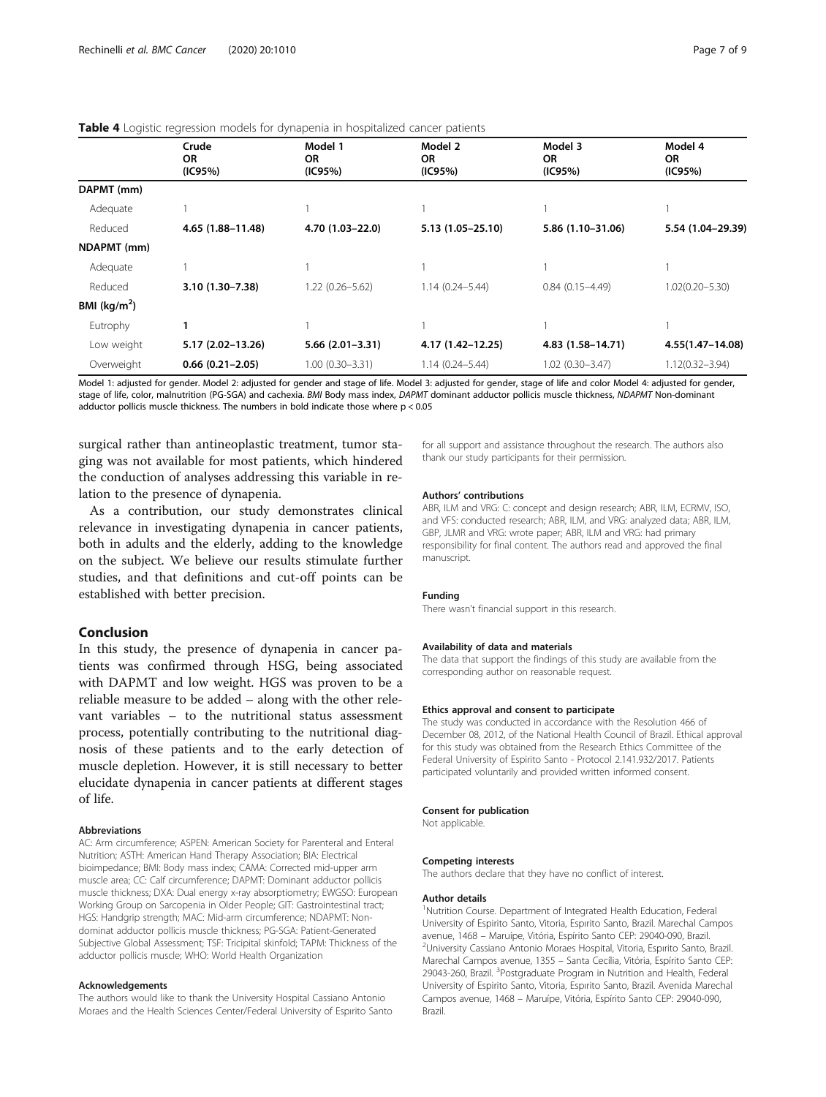## <span id="page-6-0"></span>Table 4 Logistic regression models for dynapenia in hospitalized cancer patients

|               | Crude<br><b>OR</b><br>(IC95%) | Model 1<br><b>OR</b><br>(IC95%) | Model 2<br>OR.<br>(IC95%) | Model 3<br><b>OR</b><br>(IC95%) | Model 4<br>OR.<br>(IC95%) |
|---------------|-------------------------------|---------------------------------|---------------------------|---------------------------------|---------------------------|
|               |                               |                                 |                           |                                 |                           |
|               |                               |                                 |                           |                                 |                           |
| DAPMT (mm)    |                               |                                 |                           |                                 |                           |
| Adequate      |                               |                                 |                           |                                 |                           |
| Reduced       | 4.65 (1.88-11.48)             | 4.70 (1.03-22.0)                | 5.13 (1.05-25.10)         | 5.86 (1.10-31.06)               | 5.54 (1.04-29.39)         |
| NDAPMT (mm)   |                               |                                 |                           |                                 |                           |
| Adequate      |                               |                                 |                           |                                 |                           |
| Reduced       | 3.10 (1.30-7.38)              | $1.22(0.26 - 5.62)$             | $1.14(0.24 - 5.44)$       | $0.84(0.15 - 4.49)$             | $1.02(0.20 - 5.30)$       |
| BMI $(kg/m2)$ |                               |                                 |                           |                                 |                           |
| Eutrophy      |                               |                                 |                           |                                 |                           |
| Low weight    | 5.17 (2.02-13.26)             | $5.66(2.01-3.31)$               | 4.17 (1.42-12.25)         | 4.83 (1.58-14.71)               | 4.55(1.47-14.08)          |
| Overweight    | $0.66(0.21-2.05)$             | $1.00(0.30 - 3.31)$             | $1.14(0.24 - 5.44)$       | $1.02(0.30 - 3.47)$             | $1.12(0.32 - 3.94)$       |

Model 1: adjusted for gender. Model 2: adjusted for gender and stage of life. Model 3: adjusted for gender, stage of life and color Model 4: adjusted for gender, stage of life, color, malnutrition (PG-SGA) and cachexia. BMI Body mass index, DAPMT dominant adductor pollicis muscle thickness, NDAPMT Non-dominant adductor pollicis muscle thickness. The numbers in bold indicate those where  $p < 0.05$ 

surgical rather than antineoplastic treatment, tumor staging was not available for most patients, which hindered the conduction of analyses addressing this variable in relation to the presence of dynapenia.

As a contribution, our study demonstrates clinical relevance in investigating dynapenia in cancer patients, both in adults and the elderly, adding to the knowledge on the subject. We believe our results stimulate further studies, and that definitions and cut-off points can be established with better precision.

## Conclusion

In this study, the presence of dynapenia in cancer patients was confirmed through HSG, being associated with DAPMT and low weight. HGS was proven to be a reliable measure to be added – along with the other relevant variables – to the nutritional status assessment process, potentially contributing to the nutritional diagnosis of these patients and to the early detection of muscle depletion. However, it is still necessary to better elucidate dynapenia in cancer patients at different stages of life.

#### Abbreviations

AC: Arm circumference; ASPEN: American Society for Parenteral and Enteral Nutrition; ASTH: American Hand Therapy Association; BIA: Electrical bioimpedance; BMI: Body mass index; CAMA: Corrected mid-upper arm muscle area; CC: Calf circumference; DAPMT: Dominant adductor pollicis muscle thickness; DXA: Dual energy x-ray absorptiometry; EWGSO: European Working Group on Sarcopenia in Older People; GIT: Gastrointestinal tract; HGS: Handgrip strength; MAC: Mid-arm circumference; NDAPMT: Nondominat adductor pollicis muscle thickness; PG-SGA: Patient-Generated Subjective Global Assessment; TSF: Tricipital skinfold; TAPM: Thickness of the adductor pollicis muscle; WHO: World Health Organization

#### Acknowledgements

The authors would like to thank the University Hospital Cassiano Antonio Moraes and the Health Sciences Center/Federal University of Espırito Santo for all support and assistance throughout the research. The authors also thank our study participants for their permission.

#### Authors' contributions

ABR, ILM and VRG: C: concept and design research; ABR, ILM, ECRMV, ISO, and VFS: conducted research; ABR, ILM, and VRG: analyzed data; ABR, ILM, GBP, JLMR and VRG: wrote paper; ABR, ILM and VRG: had primary responsibility for final content. The authors read and approved the final manuscript.

#### Funding

There wasn't financial support in this research.

#### Availability of data and materials

The data that support the findings of this study are available from the corresponding author on reasonable request.

## Ethics approval and consent to participate

The study was conducted in accordance with the Resolution 466 of December 08, 2012, of the National Health Council of Brazil. Ethical approval for this study was obtained from the Research Ethics Committee of the Federal University of Espirito Santo - Protocol 2.141.932/2017. Patients participated voluntarily and provided written informed consent.

#### Consent for publication

Not applicable.

#### Competing interests

The authors declare that they have no conflict of interest.

#### Author details

<sup>1</sup>Nutrition Course. Department of Integrated Health Education, Federal University of Espirito Santo, Vitoria, Espırito Santo, Brazil. Marechal Campos avenue, 1468 – Maruípe, Vitória, Espírito Santo CEP: 29040-090, Brazil. <sup>2</sup> <sup>2</sup>University Cassiano Antonio Moraes Hospital, Vitoria, Espirito Santo, Brazil. Marechal Campos avenue, 1355 – Santa Cecília, Vitória, Espírito Santo CEP: 29043-260, Brazil. <sup>3</sup>Postgraduate Program in Nutrition and Health, Federal University of Espirito Santo, Vitoria, Espırito Santo, Brazil. Avenida Marechal Campos avenue, 1468 – Maruípe, Vitória, Espírito Santo CEP: 29040-090, Brazil.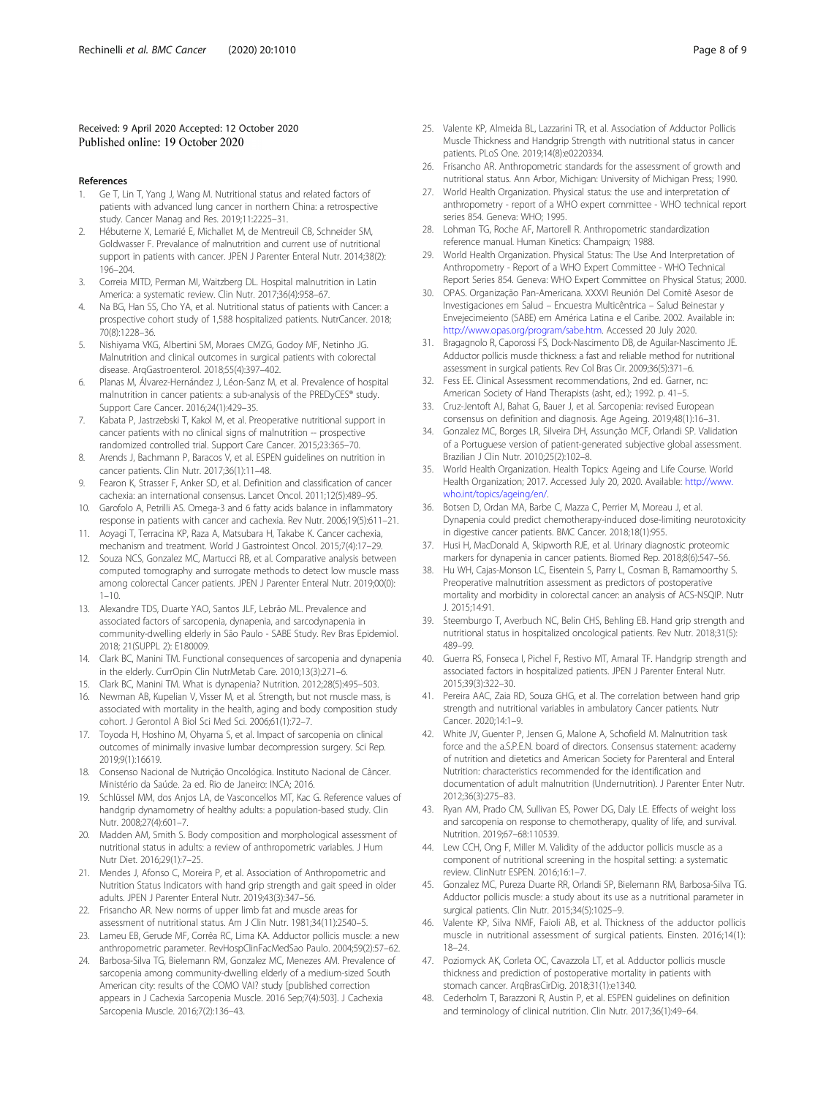## <span id="page-7-0"></span>Received: 9 April 2020 Accepted: 12 October 2020 Published online: 19 October 2020

#### References

- 1. Ge T, Lin T, Yang J, Wang M. Nutritional status and related factors of patients with advanced lung cancer in northern China: a retrospective study. Cancer Manag and Res. 2019;11:2225–31.
- 2. Hébuterne X, Lemarié E, Michallet M, de Mentreuil CB, Schneider SM, Goldwasser F. Prevalance of malnutrition and current use of nutritional support in patients with cancer. JPEN J Parenter Enteral Nutr. 2014;38(2): 196–204.
- 3. Correia MITD, Perman MI, Waitzberg DL. Hospital malnutrition in Latin America: a systematic review. Clin Nutr. 2017;36(4):958–67.
- 4. Na BG, Han SS, Cho YA, et al. Nutritional status of patients with Cancer: a prospective cohort study of 1,588 hospitalized patients. NutrCancer. 2018; 70(8):1228–36.
- 5. Nishiyama VKG, Albertini SM, Moraes CMZG, Godoy MF, Netinho JG. Malnutrition and clinical outcomes in surgical patients with colorectal disease. ArqGastroenterol. 2018;55(4):397–402.
- 6. Planas M, Álvarez-Hernández J, Léon-Sanz M, et al. Prevalence of hospital malnutrition in cancer patients: a sub-analysis of the PREDyCES® study. Support Care Cancer. 2016;24(1):429–35.
- 7. Kabata P, Jastrzebski T, Kakol M, et al. Preoperative nutritional support in cancer patients with no clinical signs of malnutrition -- prospective randomized controlled trial. Support Care Cancer. 2015;23:365–70.
- 8. Arends J, Bachmann P, Baracos V, et al. ESPEN quidelines on nutrition in cancer patients. Clin Nutr. 2017;36(1):11–48.
- 9. Fearon K, Strasser F, Anker SD, et al. Definition and classification of cancer cachexia: an international consensus. Lancet Oncol. 2011;12(5):489–95.
- 10. Garofolo A, Petrilli AS. Omega-3 and 6 fatty acids balance in inflammatory response in patients with cancer and cachexia. Rev Nutr. 2006;19(5):611–21.
- 11. Aoyagi T, Terracina KP, Raza A, Matsubara H, Takabe K. Cancer cachexia, mechanism and treatment. World J Gastrointest Oncol. 2015;7(4):17–29.
- 12. Souza NCS, Gonzalez MC, Martucci RB, et al. Comparative analysis between computed tomography and surrogate methods to detect low muscle mass among colorectal Cancer patients. JPEN J Parenter Enteral Nutr. 2019;00(0):  $1 - 10$
- 13. Alexandre TDS, Duarte YAO, Santos JLF, Lebrão ML. Prevalence and associated factors of sarcopenia, dynapenia, and sarcodynapenia in community-dwelling elderly in São Paulo - SABE Study. Rev Bras Epidemiol. 2018; 21(SUPPL 2): E180009.
- 14. Clark BC, Manini TM. Functional consequences of sarcopenia and dynapenia in the elderly. CurrOpin Clin NutrMetab Care. 2010;13(3):271–6.
- 15. Clark BC, Manini TM. What is dynapenia? Nutrition. 2012;28(5):495–503.
- 16. Newman AB, Kupelian V, Visser M, et al. Strength, but not muscle mass, is associated with mortality in the health, aging and body composition study cohort. J Gerontol A Biol Sci Med Sci. 2006;61(1):72–7.
- 17. Toyoda H, Hoshino M, Ohyama S, et al. Impact of sarcopenia on clinical outcomes of minimally invasive lumbar decompression surgery. Sci Rep. 2019;9(1):16619.
- 18. Consenso Nacional de Nutrição Oncológica. Instituto Nacional de Câncer. Ministério da Saúde. 2a ed. Rio de Janeiro: INCA; 2016.
- 19. Schlüssel MM, dos Anjos LA, de Vasconcellos MT, Kac G. Reference values of handgrip dynamometry of healthy adults: a population-based study. Clin Nutr. 2008;27(4):601–7.
- 20. Madden AM, Smith S. Body composition and morphological assessment of nutritional status in adults: a review of anthropometric variables. J Hum Nutr Diet. 2016;29(1):7–25.
- 21. Mendes J, Afonso C, Moreira P, et al. Association of Anthropometric and Nutrition Status Indicators with hand grip strength and gait speed in older adults. JPEN J Parenter Enteral Nutr. 2019;43(3):347–56.
- 22. Frisancho AR. New norms of upper limb fat and muscle areas for assessment of nutritional status. Am J Clin Nutr. 1981;34(11):2540–5.
- 23. Lameu EB, Gerude MF, Corrêa RC, Lima KA. Adductor pollicis muscle: a new anthropometric parameter. RevHospClinFacMedSao Paulo. 2004;59(2):57–62.
- 24. Barbosa-Silva TG, Bielemann RM, Gonzalez MC, Menezes AM. Prevalence of sarcopenia among community-dwelling elderly of a medium-sized South American city: results of the COMO VAI? study [published correction appears in J Cachexia Sarcopenia Muscle. 2016 Sep;7(4):503]. J Cachexia Sarcopenia Muscle. 2016;7(2):136–43.
- 25. Valente KP, Almeida BL, Lazzarini TR, et al. Association of Adductor Pollicis Muscle Thickness and Handgrip Strength with nutritional status in cancer patients. PLoS One. 2019;14(8):e0220334.
- 26. Frisancho AR. Anthropometric standards for the assessment of growth and nutritional status. Ann Arbor, Michigan: University of Michigan Press; 1990.
- 27. World Health Organization. Physical status: the use and interpretation of anthropometry - report of a WHO expert committee - WHO technical report series 854. Geneva: WHO; 1995.
- 28. Lohman TG, Roche AF, Martorell R. Anthropometric standardization reference manual. Human Kinetics: Champaign; 1988.
- 29. World Health Organization. Physical Status: The Use And Interpretation of Anthropometry - Report of a WHO Expert Committee - WHO Technical Report Series 854. Geneva: WHO Expert Committee on Physical Status; 2000.
- 30. OPAS. Organização Pan-Americana. XXXVI Reunión Del Comitê Asesor de Investigaciones em Salud – Encuestra Multicêntrica – Salud Beinestar y Envejecimeiento (SABE) em América Latina e el Caribe. 2002. Available in: <http://www.opas.org/program/sabe.htm>. Accessed 20 July 2020.
- 31. Bragagnolo R, Caporossi FS, Dock-Nascimento DB, de Aguilar-Nascimento JE. Adductor pollicis muscle thickness: a fast and reliable method for nutritional assessment in surgical patients. Rev Col Bras Cir. 2009;36(5):371–6.
- 32. Fess EE. Clinical Assessment recommendations, 2nd ed. Garner, nc: American Society of Hand Therapists (asht, ed.); 1992. p. 41–5.
- 33. Cruz-Jentoft AJ, Bahat G, Bauer J, et al. Sarcopenia: revised European consensus on definition and diagnosis. Age Ageing. 2019;48(1):16–31.
- 34. Gonzalez MC, Borges LR, Silveira DH, Assunção MCF, Orlandi SP. Validation of a Portuguese version of patient-generated subjective global assessment. Brazilian J Clin Nutr. 2010;25(2):102–8.
- 35. World Health Organization. Health Topics: Ageing and Life Course. World Health Organization; 2017. Accessed July 20, 2020. Available: [http://www.](http://www.who.int/topics/ageing/en/) [who.int/topics/ageing/en/.](http://www.who.int/topics/ageing/en/)
- 36. Botsen D, Ordan MA, Barbe C, Mazza C, Perrier M, Moreau J, et al. Dynapenia could predict chemotherapy-induced dose-limiting neurotoxicity in digestive cancer patients. BMC Cancer. 2018;18(1):955.
- 37. Husi H, MacDonald A, Skipworth RJE, et al. Urinary diagnostic proteomic markers for dynapenia in cancer patients. Biomed Rep. 2018;8(6):547–56.
- 38. Hu WH, Cajas-Monson LC, Eisentein S, Parry L, Cosman B, Ramamoorthy S. Preoperative malnutrition assessment as predictors of postoperative mortality and morbidity in colorectal cancer: an analysis of ACS-NSQIP. Nutr J. 2015;14:91.
- 39. Steemburgo T, Averbuch NC, Belin CHS, Behling EB. Hand grip strength and nutritional status in hospitalized oncological patients. Rev Nutr. 2018;31(5): 489–99.
- 40. Guerra RS, Fonseca I, Pichel F, Restivo MT, Amaral TF. Handgrip strength and associated factors in hospitalized patients. JPEN J Parenter Enteral Nutr. 2015;39(3):322–30.
- 41. Pereira AAC, Zaia RD, Souza GHG, et al. The correlation between hand grip strength and nutritional variables in ambulatory Cancer patients. Nutr Cancer. 2020;14:1–9.
- 42. White JV, Guenter P, Jensen G, Malone A, Schofield M. Malnutrition task force and the a.S.P.E.N. board of directors. Consensus statement: academy of nutrition and dietetics and American Society for Parenteral and Enteral Nutrition: characteristics recommended for the identification and documentation of adult malnutrition (Undernutrition). J Parenter Enter Nutr. 2012;36(3):275–83.
- 43. Ryan AM, Prado CM, Sullivan ES, Power DG, Daly LE. Effects of weight loss and sarcopenia on response to chemotherapy, quality of life, and survival. Nutrition. 2019;67–68:110539.
- 44. Lew CCH, Ong F, Miller M. Validity of the adductor pollicis muscle as a component of nutritional screening in the hospital setting: a systematic review. ClinNutr ESPEN. 2016;16:1–7.
- 45. Gonzalez MC, Pureza Duarte RR, Orlandi SP, Bielemann RM, Barbosa-Silva TG. Adductor pollicis muscle: a study about its use as a nutritional parameter in surgical patients. Clin Nutr. 2015;34(5):1025–9.
- 46. Valente KP, Silva NMF, Faioli AB, et al. Thickness of the adductor pollicis muscle in nutritional assessment of surgical patients. Einsten. 2016;14(1): 18–24.
- 47. Poziomyck AK, Corleta OC, Cavazzola LT, et al. Adductor pollicis muscle thickness and prediction of postoperative mortality in patients with stomach cancer. ArqBrasCirDig. 2018;31(1):e1340.
- 48. Cederholm T, Barazzoni R, Austin P, et al. ESPEN guidelines on definition and terminology of clinical nutrition. Clin Nutr. 2017;36(1):49–64.